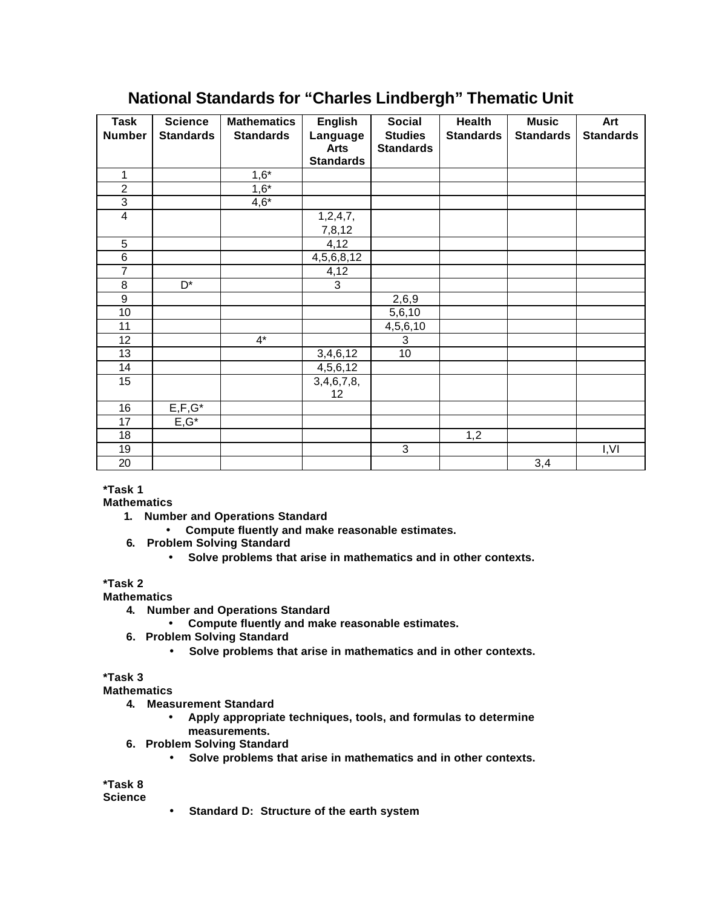## **National Standards for "Charles Lindbergh" Thematic Unit**

| <b>Task</b>      | <b>Science</b>   | <b>Mathematics</b> | <b>English</b>                  | <b>Social</b>    | <b>Health</b>    | <b>Music</b>     | Art              |
|------------------|------------------|--------------------|---------------------------------|------------------|------------------|------------------|------------------|
| <b>Number</b>    | <b>Standards</b> | <b>Standards</b>   | Language                        | <b>Studies</b>   | <b>Standards</b> | <b>Standards</b> | <b>Standards</b> |
|                  |                  |                    | <b>Arts</b><br><b>Standards</b> | <b>Standards</b> |                  |                  |                  |
|                  |                  |                    |                                 |                  |                  |                  |                  |
| 1                |                  | $1,6*$             |                                 |                  |                  |                  |                  |
| $\overline{2}$   |                  | $1,6*$             |                                 |                  |                  |                  |                  |
| $\overline{3}$   |                  | $4,6*$             |                                 |                  |                  |                  |                  |
| $\overline{4}$   |                  |                    | 1,2,4,7,                        |                  |                  |                  |                  |
|                  |                  |                    | 7,8,12                          |                  |                  |                  |                  |
| 5                |                  |                    | 4,12                            |                  |                  |                  |                  |
| $\overline{6}$   |                  |                    | 4,5,6,8,12                      |                  |                  |                  |                  |
| $\overline{7}$   |                  |                    | 4,12                            |                  |                  |                  |                  |
| 8                | D <sup>*</sup>   |                    | $\overline{3}$                  |                  |                  |                  |                  |
| $\boldsymbol{9}$ |                  |                    |                                 | 2,6,9            |                  |                  |                  |
| 10               |                  |                    |                                 | 5,6,10           |                  |                  |                  |
| 11               |                  |                    |                                 | 4,5,6,10         |                  |                  |                  |
| 12               |                  | $4*$               |                                 | 3                |                  |                  |                  |
| 13               |                  |                    | 3,4,6,12                        | 10               |                  |                  |                  |
| 14               |                  |                    | 4,5,6,12                        |                  |                  |                  |                  |
| 15               |                  |                    | 3,4,6,7,8,                      |                  |                  |                  |                  |
|                  |                  |                    | 12                              |                  |                  |                  |                  |
| 16               | $E, F, G^*$      |                    |                                 |                  |                  |                  |                  |
| 17               | $E, G^*$         |                    |                                 |                  |                  |                  |                  |
| 18               |                  |                    |                                 |                  | 1,2              |                  |                  |
| 19               |                  |                    |                                 | 3                |                  |                  | I,VI             |
| 20               |                  |                    |                                 |                  |                  | 3,4              |                  |

**\*Task 1**

**Mathematics**

- **1. Number and Operations Standard**
	- **Compute fluently and make reasonable estimates.**
- **6. Problem Solving Standard**
	- **Solve problems that arise in mathematics and in other contexts.**

## **\*Task 2**

**Mathematics**

- **4. Number and Operations Standard**
	- **Compute fluently and make reasonable estimates.**
- **6. Problem Solving Standard**
	- **Solve problems that arise in mathematics and in other contexts.**

**\*Task 3**

**Mathematics**

- **4. Measurement Standard**
	- **Apply appropriate techniques, tools, and formulas to determine measurements.**
- **6. Problem Solving Standard**
	- **Solve problems that arise in mathematics and in other contexts.**

**\*Task 8 Science**

• **Standard D: Structure of the earth system**